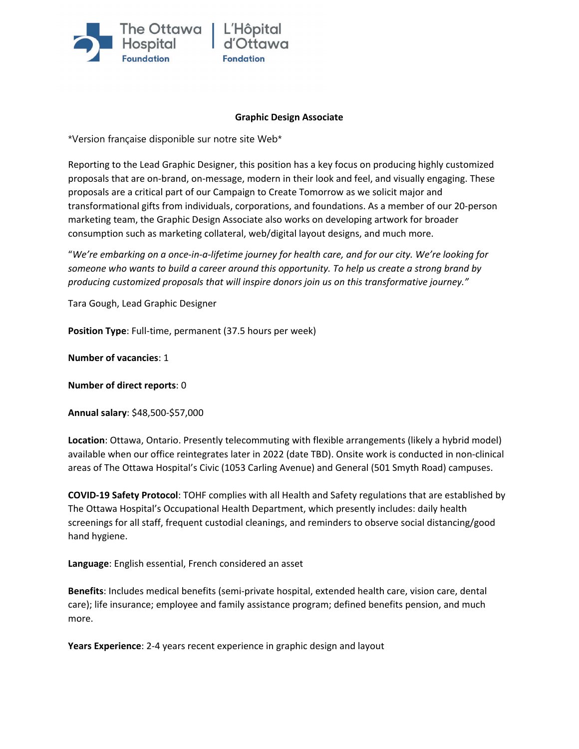

### **Graphic Design Associate**

\*Version française disponible sur notre site Web\*

Reporting to the Lead Graphic Designer, this position has a key focus on producing highly customized proposals that are on-brand, on-message, modern in their look and feel, and visually engaging. These proposals are a critical part of our Campaign to Create Tomorrow as we solicit major and transformational gifts from individuals, corporations, and foundations. As a member of our 20-person marketing team, the Graphic Design Associate also works on developing artwork for broader consumption such as marketing collateral, web/digital layout designs, and much more.

"*We're embarking on a once-in-a-lifetime journey for health care, and for our city. We're looking for someone who wants to build a career around this opportunity. To help us create a strong brand by producing customized proposals that will inspire donors join us on this transformative journey."*

Tara Gough, Lead Graphic Designer

**Position Type**: Full-time, permanent (37.5 hours per week)

**Number of vacancies**: 1

**Number of direct reports**: 0

**Annual salary**: \$48,500-\$57,000

**Location**: Ottawa, Ontario. Presently telecommuting with flexible arrangements (likely a hybrid model) available when our office reintegrates later in 2022 (date TBD). Onsite work is conducted in non-clinical areas of The Ottawa Hospital's Civic (1053 Carling Avenue) and General (501 Smyth Road) campuses.

**COVID-19 Safety Protocol**: TOHF complies with all Health and Safety regulations that are established by The Ottawa Hospital's Occupational Health Department, which presently includes: daily health screenings for all staff, frequent custodial cleanings, and reminders to observe social distancing/good hand hygiene.

**Language**: English essential, French considered an asset

**Benefits**: Includes medical benefits (semi-private hospital, extended health care, vision care, dental care); life insurance; employee and family assistance program; defined benefits pension, and much more.

**Years Experience**: 2-4 years recent experience in graphic design and layout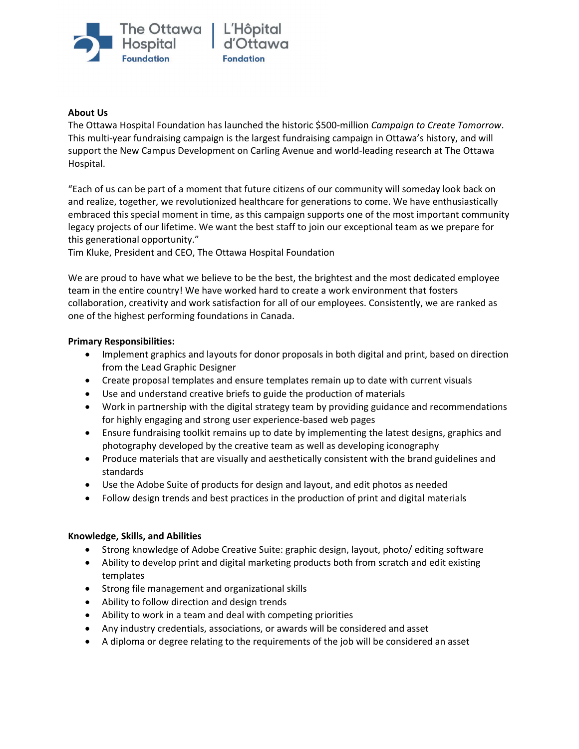

#### **About Us**

The Ottawa Hospital Foundation has launched the historic \$500-million *Campaign to Create Tomorrow*. This multi-year fundraising campaign is the largest fundraising campaign in Ottawa's history, and will support the New Campus Development on Carling Avenue and world-leading research at The Ottawa Hospital.

"Each of us can be part of a moment that future citizens of our community will someday look back on and realize, together, we revolutionized healthcare for generations to come. We have enthusiastically embraced this special moment in time, as this campaign supports one of the most important community legacy projects of our lifetime. We want the best staff to join our exceptional team as we prepare for this generational opportunity."

Tim Kluke, President and CEO, The Ottawa Hospital Foundation

We are proud to have what we believe to be the best, the brightest and the most dedicated employee team in the entire country! We have worked hard to create a work environment that fosters collaboration, creativity and work satisfaction for all of our employees. Consistently, we are ranked as one of the highest performing foundations in Canada.

### **Primary Responsibilities:**

- Implement graphics and layouts for donor proposals in both digital and print, based on direction from the Lead Graphic Designer
- Create proposal templates and ensure templates remain up to date with current visuals
- Use and understand creative briefs to guide the production of materials
- Work in partnership with the digital strategy team by providing guidance and recommendations for highly engaging and strong user experience-based web pages
- Ensure fundraising toolkit remains up to date by implementing the latest designs, graphics and photography developed by the creative team as well as developing iconography
- Produce materials that are visually and aesthetically consistent with the brand guidelines and standards
- Use the Adobe Suite of products for design and layout, and edit photos as needed
- Follow design trends and best practices in the production of print and digital materials

# **Knowledge, Skills, and Abilities**

- Strong knowledge of Adobe Creative Suite: graphic design, layout, photo/ editing software
- Ability to develop print and digital marketing products both from scratch and edit existing templates
- Strong file management and organizational skills
- Ability to follow direction and design trends
- Ability to work in a team and deal with competing priorities
- Any industry credentials, associations, or awards will be considered and asset
- A diploma or degree relating to the requirements of the job will be considered an asset